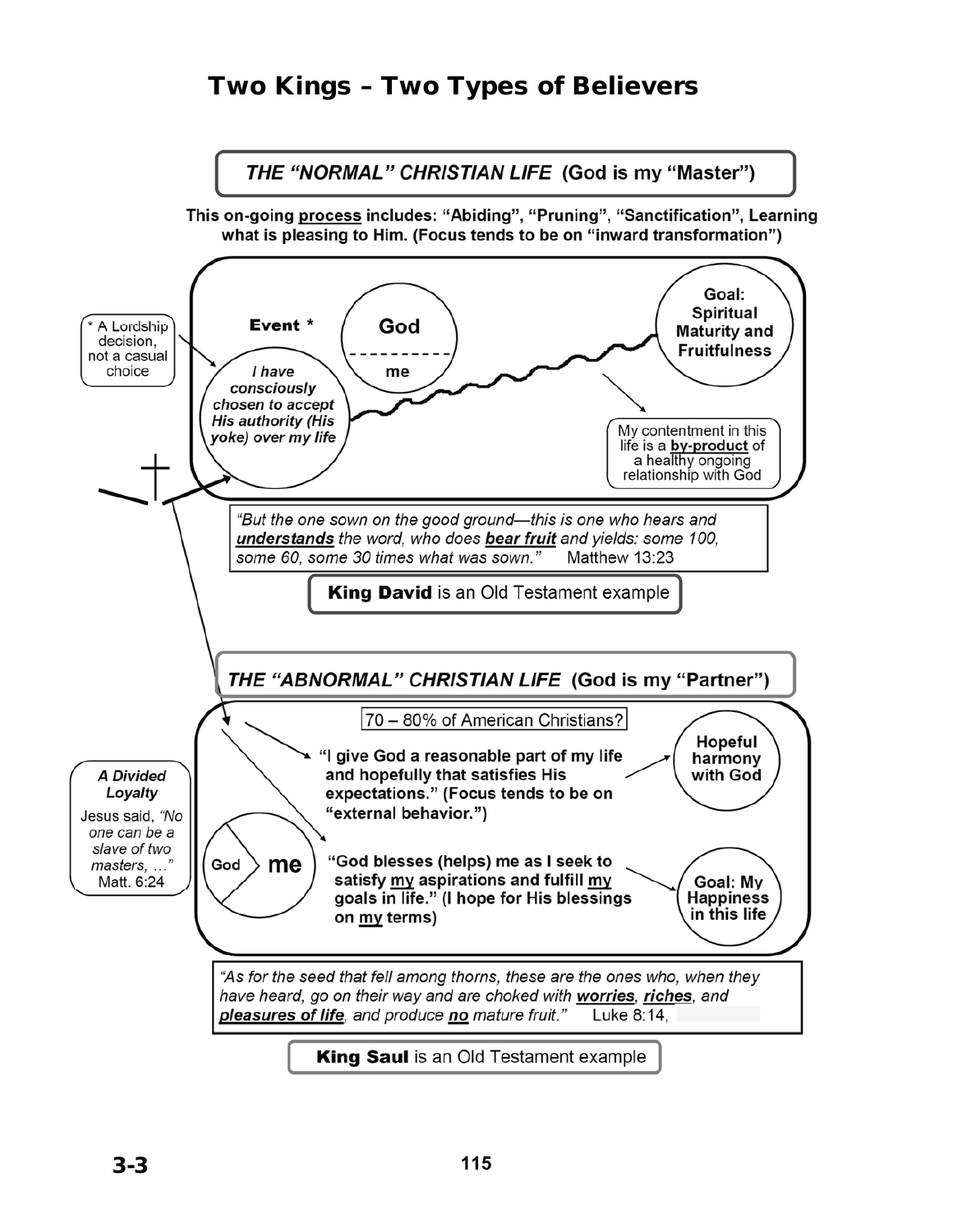# Two Kings – Two Types of Believers

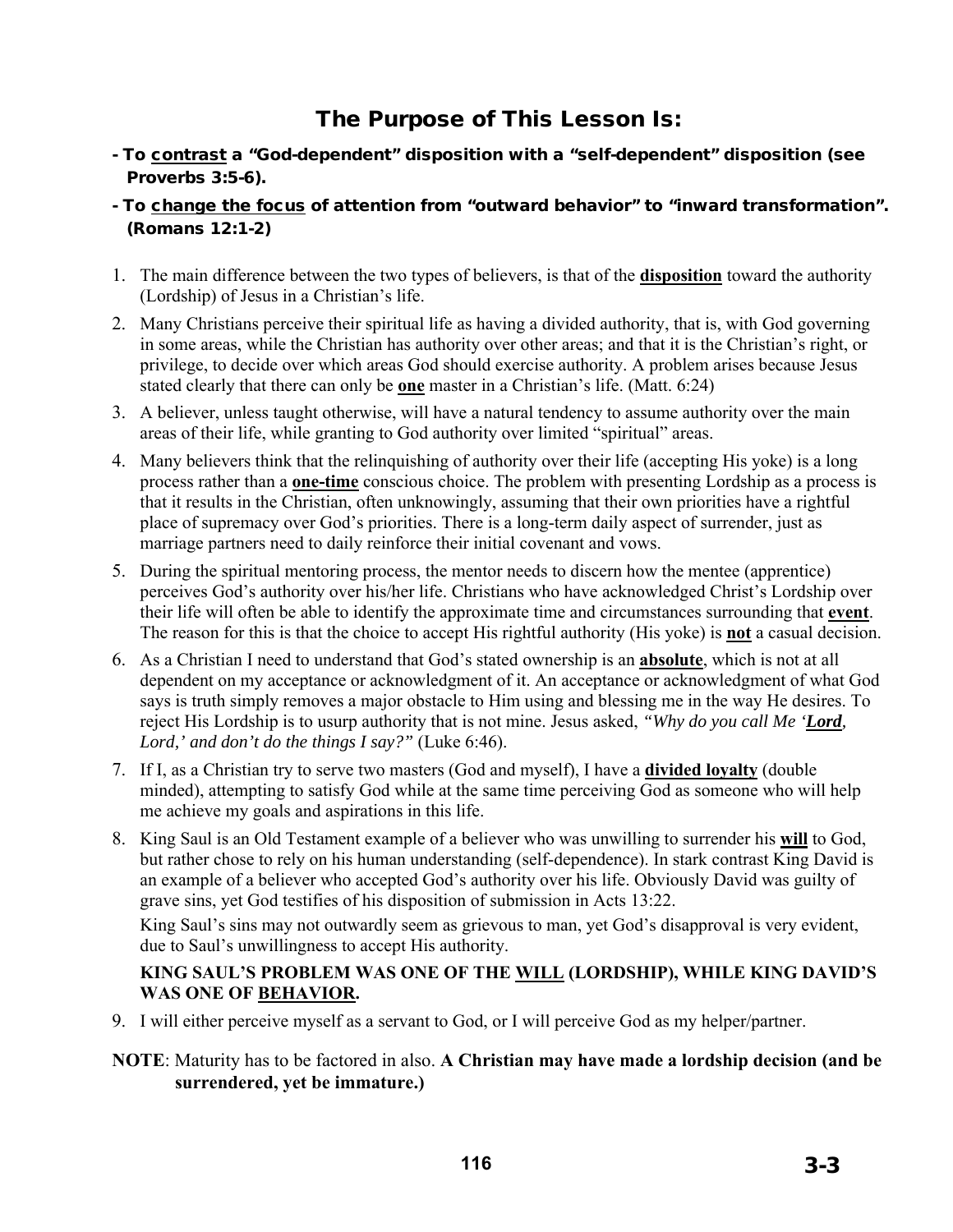# The Purpose of This Lesson Is:

- To contrast a "God-dependent" disposition with a "self-dependent" disposition (see Proverbs 3:5-6).
- To change the focus of attention from "outward behavior" to "inward transformation". (Romans 12:1-2)
- 1. The main difference between the two types of believers, is that of the **disposition** toward the authority (Lordship) of Jesus in a Christian's life.
- 2. Many Christians perceive their spiritual life as having a divided authority, that is, with God governing in some areas, while the Christian has authority over other areas; and that it is the Christian's right, or privilege, to decide over which areas God should exercise authority. A problem arises because Jesus stated clearly that there can only be **one** master in a Christian's life. (Matt. 6:24)
- 3. A believer, unless taught otherwise, will have a natural tendency to assume authority over the main areas of their life, while granting to God authority over limited "spiritual" areas.
- 4. Many believers think that the relinquishing of authority over their life (accepting His yoke) is a long process rather than a **one-time** conscious choice. The problem with presenting Lordship as a process is that it results in the Christian, often unknowingly, assuming that their own priorities have a rightful place of supremacy over God's priorities. There is a long-term daily aspect of surrender, just as marriage partners need to daily reinforce their initial covenant and vows.
- 5. During the spiritual mentoring process, the mentor needs to discern how the mentee (apprentice) perceives God's authority over his/her life. Christians who have acknowledged Christ's Lordship over their life will often be able to identify the approximate time and circumstances surrounding that **event**. The reason for this is that the choice to accept His rightful authority (His yoke) is **not** a casual decision.
- 6. As a Christian I need to understand that God's stated ownership is an **absolute**, which is not at all dependent on my acceptance or acknowledgment of it. An acceptance or acknowledgment of what God says is truth simply removes a major obstacle to Him using and blessing me in the way He desires. To reject His Lordship is to usurp authority that is not mine. Jesus asked, *"Why do you call Me 'Lord, Lord,' and don't do the things I say?"* (Luke 6:46).
- 7. If I, as a Christian try to serve two masters (God and myself), I have a **divided loyalty** (double minded), attempting to satisfy God while at the same time perceiving God as someone who will help me achieve my goals and aspirations in this life.
- 8. King Saul is an Old Testament example of a believer who was unwilling to surrender his **will** to God, but rather chose to rely on his human understanding (self-dependence). In stark contrast King David is an example of a believer who accepted God's authority over his life. Obviously David was guilty of grave sins, yet God testifies of his disposition of submission in Acts 13:22.

King Saul's sins may not outwardly seem as grievous to man, yet God's disapproval is very evident, due to Saul's unwillingness to accept His authority.

#### **KING SAUL'S PROBLEM WAS ONE OF THE WILL (LORDSHIP), WHILE KING DAVID'S WAS ONE OF BEHAVIOR.**

- 9. I will either perceive myself as a servant to God, or I will perceive God as my helper/partner.
- **NOTE**: Maturity has to be factored in also. **A Christian may have made a lordship decision (and be surrendered, yet be immature.)**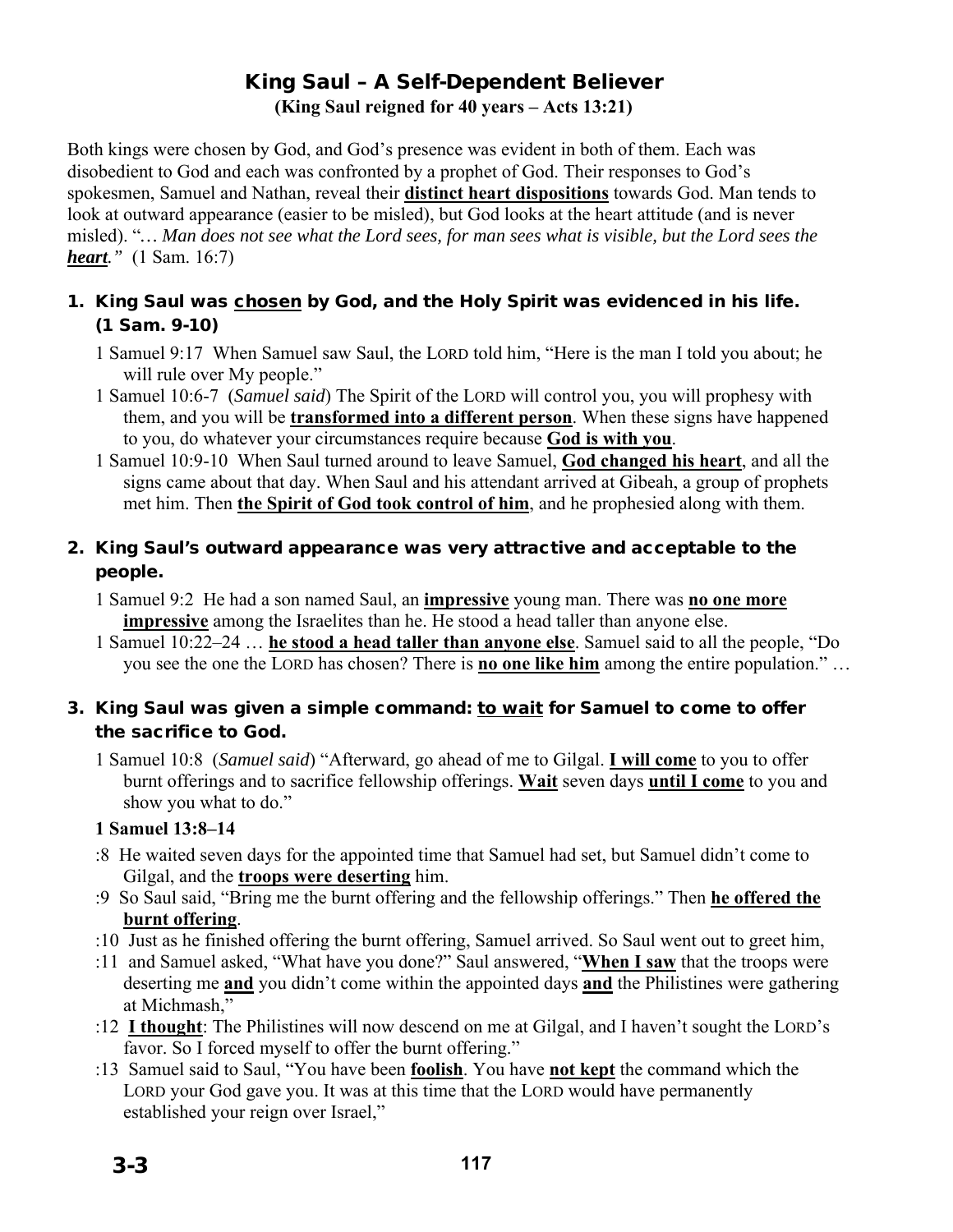## King Saul – A Self-Dependent Believer **(King Saul reigned for 40 years – Acts 13:21)**

Both kings were chosen by God, and God's presence was evident in both of them. Each was disobedient to God and each was confronted by a prophet of God. Their responses to God's spokesmen, Samuel and Nathan, reveal their **distinct heart dispositions** towards God. Man tends to look at outward appearance (easier to be misled), but God looks at the heart attitude (and is never misled). "*… Man does not see what the Lord sees, for man sees what is visible, but the Lord sees the heart."* (1 Sam. 16:7)

### 1. King Saul was chosen by God, and the Holy Spirit was evidenced in his life. (1 Sam. 9-10)

- 1 Samuel 9:17 When Samuel saw Saul, the LORD told him, "Here is the man I told you about; he will rule over My people."
- 1 Samuel 10:6-7 (*Samuel said*) The Spirit of the LORD will control you, you will prophesy with them, and you will be **transformed into a different person**. When these signs have happened to you, do whatever your circumstances require because **God is with you**.
- 1 Samuel 10:9-10 When Saul turned around to leave Samuel, **God changed his heart**, and all the signs came about that day. When Saul and his attendant arrived at Gibeah, a group of prophets met him. Then **the Spirit of God took control of him**, and he prophesied along with them.

## 2. King Saul's outward appearance was very attractive and acceptable to the people.

- 1 Samuel 9:2 He had a son named Saul, an **impressive** young man. There was **no one more impressive** among the Israelites than he. He stood a head taller than anyone else.
- 1 Samuel 10:22–24 … **he stood a head taller than anyone else**. Samuel said to all the people, "Do you see the one the LORD has chosen? There is **no one like him** among the entire population." …

### 3. King Saul was given a simple command: to wait for Samuel to come to offer the sacrifice to God.

1 Samuel 10:8 (*Samuel said*) "Afterward, go ahead of me to Gilgal. **I will come** to you to offer burnt offerings and to sacrifice fellowship offerings. **Wait** seven days **until I come** to you and show you what to do."

### **1 Samuel 13:8–14**

- :8 He waited seven days for the appointed time that Samuel had set, but Samuel didn't come to Gilgal, and the **troops were deserting** him.
- :9 So Saul said, "Bring me the burnt offering and the fellowship offerings." Then **he offered the burnt offering**.
- :10 Just as he finished offering the burnt offering, Samuel arrived. So Saul went out to greet him,
- :11 and Samuel asked, "What have you done?" Saul answered, "**When I saw** that the troops were deserting me **and** you didn't come within the appointed days **and** the Philistines were gathering at Michmash,"
- :12 **I thought**: The Philistines will now descend on me at Gilgal, and I haven't sought the LORD's favor. So I forced myself to offer the burnt offering."
- :13 Samuel said to Saul, "You have been **foolish**. You have **not kept** the command which the LORD your God gave you. It was at this time that the LORD would have permanently established your reign over Israel,"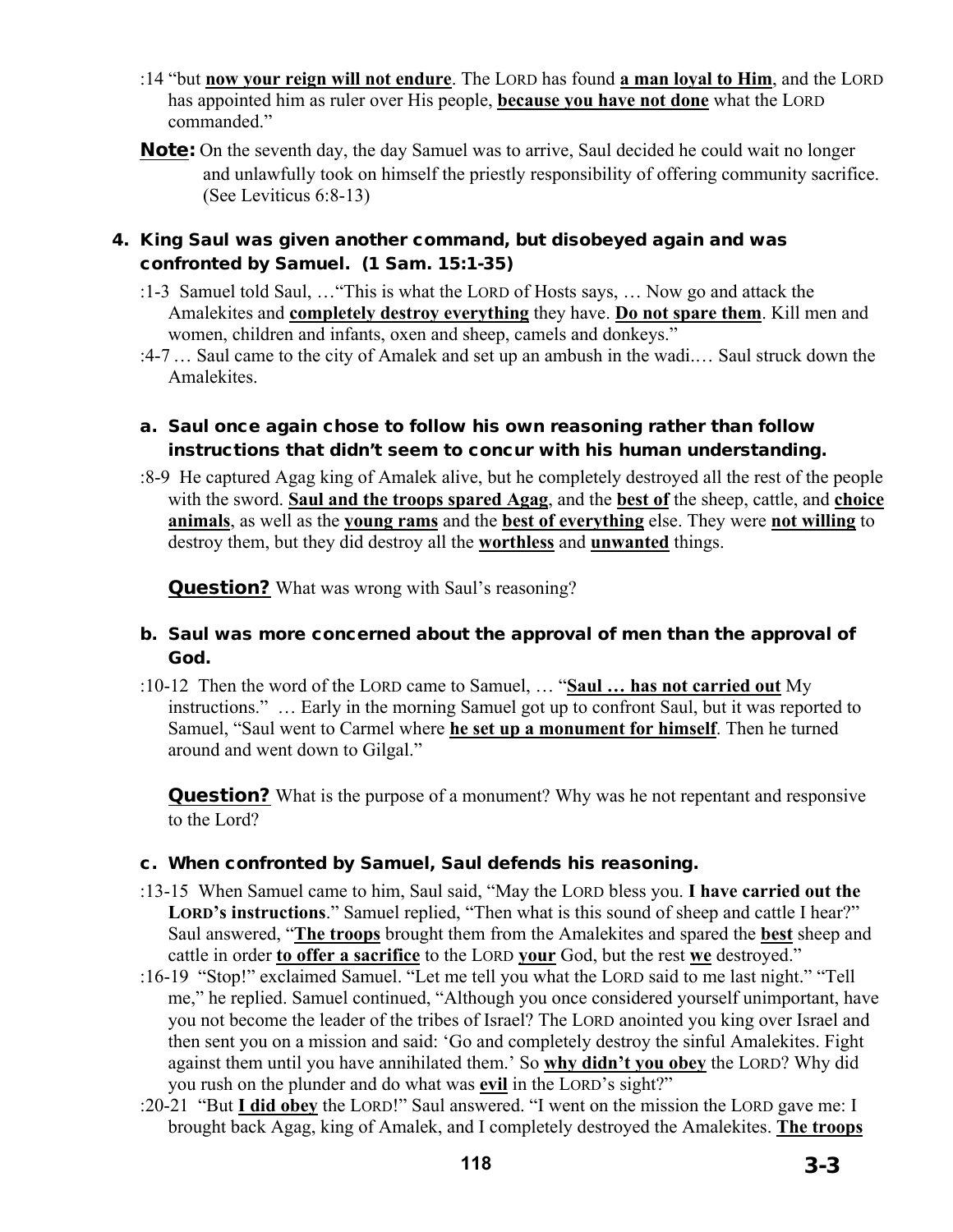- :14 "but **now your reign will not endure**. The LORD has found **a man loyal to Him**, and the LORD has appointed him as ruler over His people, **because you have not done** what the LORD commanded."
- **Note:** On the seventh day, the day Samuel was to arrive, Saul decided he could wait no longer and unlawfully took on himself the priestly responsibility of offering community sacrifice. (See Leviticus 6:8-13)

#### 4. King Saul was given another command, but disobeyed again and was confronted by Samuel. (1 Sam. 15:1-35)

- :1-3 Samuel told Saul, …"This is what the LORD of Hosts says, … Now go and attack the Amalekites and **completely destroy everything** they have. **Do not spare them**. Kill men and women, children and infants, oxen and sheep, camels and donkeys."
- :4-7… Saul came to the city of Amalek and set up an ambush in the wadi.… Saul struck down the Amalekites.

#### a. Saul once again chose to follow his own reasoning rather than follow instructions that didn't seem to concur with his human understanding.

:8-9 He captured Agag king of Amalek alive, but he completely destroyed all the rest of the people with the sword. **Saul and the troops spared Agag**, and the **best of** the sheep, cattle, and **choice animals**, as well as the **young rams** and the **best of everything** else. They were **not willing** to destroy them, but they did destroy all the **worthless** and **unwanted** things.

**Question?** What was wrong with Saul's reasoning?

#### b. Saul was more concerned about the approval of men than the approval of God.

:10-12 Then the word of the LORD came to Samuel, … "**Saul … has not carried out** My instructions." … Early in the morning Samuel got up to confront Saul, but it was reported to Samuel, "Saul went to Carmel where **he set up a monument for himself**. Then he turned around and went down to Gilgal."

**Question?** What is the purpose of a monument? Why was he not repentant and responsive to the Lord?

#### c. When confronted by Samuel, Saul defends his reasoning.

- :13-15 When Samuel came to him, Saul said, "May the LORD bless you. **I have carried out the LORD's instructions**." Samuel replied, "Then what is this sound of sheep and cattle I hear?" Saul answered, "**The troops** brought them from the Amalekites and spared the **best** sheep and cattle in order **to offer a sacrifice** to the LORD **your** God, but the rest **we** destroyed."
- :16-19 "Stop!" exclaimed Samuel. "Let me tell you what the LORD said to me last night." "Tell me," he replied. Samuel continued, "Although you once considered yourself unimportant, have you not become the leader of the tribes of Israel? The LORD anointed you king over Israel and then sent you on a mission and said: 'Go and completely destroy the sinful Amalekites. Fight against them until you have annihilated them.' So **why didn't you obey** the LORD? Why did you rush on the plunder and do what was **evil** in the LORD's sight?"
- :20-21 "But **I did obey** the LORD!" Saul answered. "I went on the mission the LORD gave me: I brought back Agag, king of Amalek, and I completely destroyed the Amalekites. **The troops**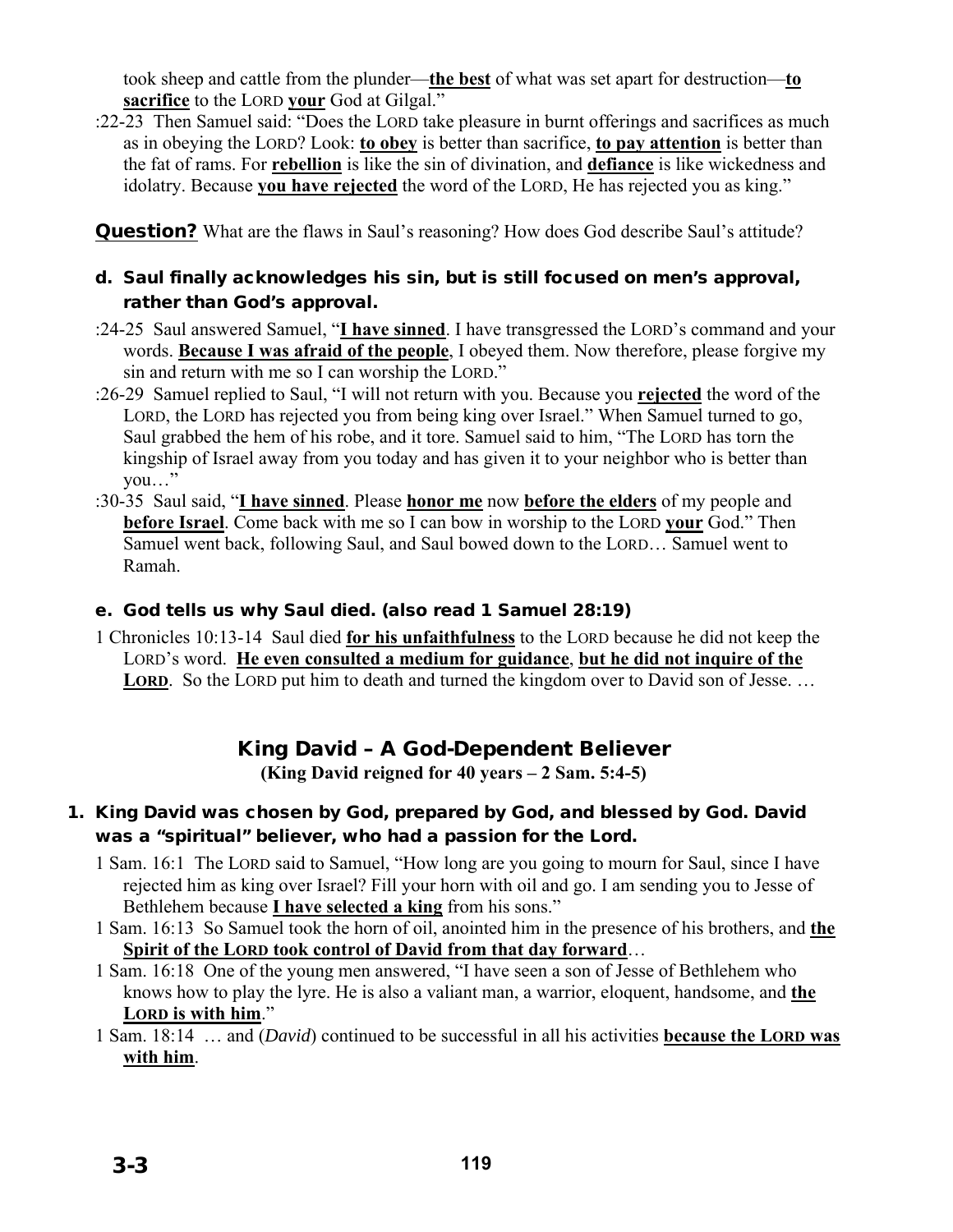took sheep and cattle from the plunder—**the best** of what was set apart for destruction—**to sacrifice** to the LORD **your** God at Gilgal."

:22-23 Then Samuel said: "Does the LORD take pleasure in burnt offerings and sacrifices as much as in obeying the LORD? Look: **to obey** is better than sacrifice, **to pay attention** is better than the fat of rams. For **rebellion** is like the sin of divination, and **defiance** is like wickedness and idolatry. Because **you have rejected** the word of the LORD, He has rejected you as king."

**Question?** What are the flaws in Saul's reasoning? How does God describe Saul's attitude?

## d. Saul finally acknowledges his sin, but is still focused on men's approval, rather than God's approval.

- :24-25 Saul answered Samuel, "**I have sinned**. I have transgressed the LORD's command and your words. **Because I was afraid of the people**, I obeyed them. Now therefore, please forgive my sin and return with me so I can worship the LORD."
- :26-29 Samuel replied to Saul, "I will not return with you. Because you **rejected** the word of the LORD, the LORD has rejected you from being king over Israel." When Samuel turned to go, Saul grabbed the hem of his robe, and it tore. Samuel said to him, "The LORD has torn the kingship of Israel away from you today and has given it to your neighbor who is better than you…"
- :30-35 Saul said, "**I have sinned**. Please **honor me** now **before the elders** of my people and **before Israel**. Come back with me so I can bow in worship to the LORD **your** God." Then Samuel went back, following Saul, and Saul bowed down to the LORD… Samuel went to Ramah.

## e. God tells us why Saul died. (also read 1 Samuel 28:19)

1 Chronicles 10:13-14 Saul died **for his unfaithfulness** to the LORD because he did not keep the LORD's word. **He even consulted a medium for guidance**, **but he did not inquire of the**  LORD. So the LORD put him to death and turned the kingdom over to David son of Jesse. ...

# King David – A God-Dependent Believer

**(King David reigned for 40 years – 2 Sam. 5:4-5)** 

## 1. King David was chosen by God, prepared by God, and blessed by God. David was a "spiritual" believer, who had a passion for the Lord.

- 1 Sam. 16:1 The LORD said to Samuel, "How long are you going to mourn for Saul, since I have rejected him as king over Israel? Fill your horn with oil and go. I am sending you to Jesse of Bethlehem because **I have selected a king** from his sons."
- 1 Sam. 16:13 So Samuel took the horn of oil, anointed him in the presence of his brothers, and **the Spirit of the LORD took control of David from that day forward**…
- 1 Sam. 16:18 One of the young men answered, "I have seen a son of Jesse of Bethlehem who knows how to play the lyre. He is also a valiant man, a warrior, eloquent, handsome, and **the LORD is with him**."
- 1 Sam. 18:14 … and (*David*) continued to be successful in all his activities **because the LORD was with him**.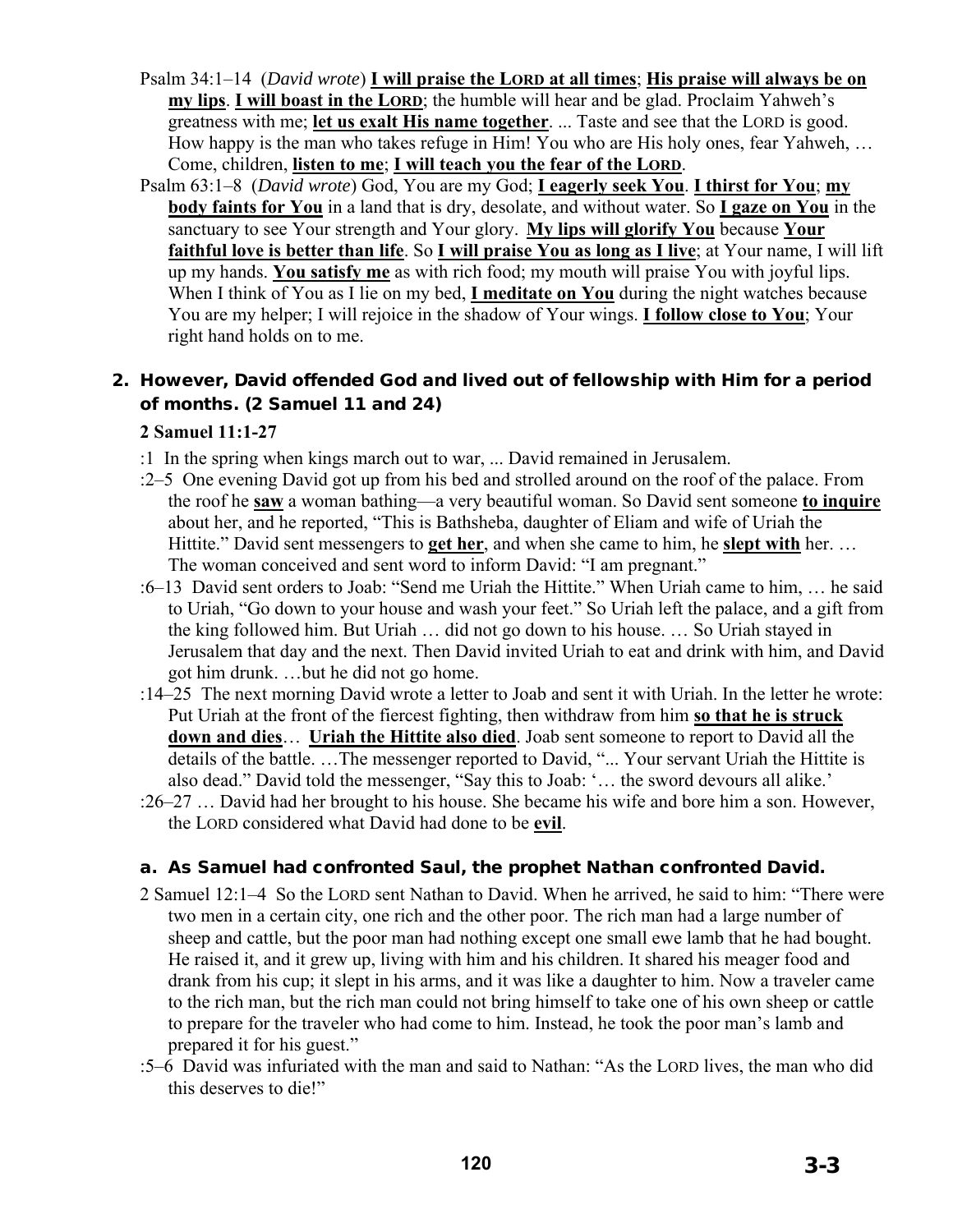- Psalm 34:1–14 (*David wrote*) **I will praise the LORD at all times**; **His praise will always be on my lips**. **I will boast in the LORD**; the humble will hear and be glad. Proclaim Yahweh's greatness with me; **let us exalt His name together**. ... Taste and see that the LORD is good. How happy is the man who takes refuge in Him! You who are His holy ones, fear Yahweh, … Come, children, **listen to me**; **I will teach you the fear of the LORD**.
- Psalm 63:1–8 (*David wrote*) God, You are my God; **I eagerly seek You**. **I thirst for You**; **my body faints for You** in a land that is dry, desolate, and without water. So **I gaze on You** in the sanctuary to see Your strength and Your glory. **My lips will glorify You** because **Your faithful love is better than life**. So **I will praise You as long as I live**; at Your name, I will lift up my hands. **You satisfy me** as with rich food; my mouth will praise You with joyful lips. When I think of You as I lie on my bed, **I meditate on You** during the night watches because You are my helper; I will rejoice in the shadow of Your wings. **I follow close to You**; Your right hand holds on to me.

## 2. However, David offended God and lived out of fellowship with Him for a period of months. (2 Samuel 11 and 24)

### **2 Samuel 11:1-27**

- :1 In the spring when kings march out to war, ... David remained in Jerusalem.
- :2–5 One evening David got up from his bed and strolled around on the roof of the palace. From the roof he **saw** a woman bathing—a very beautiful woman. So David sent someone **to inquire** about her, and he reported, "This is Bathsheba, daughter of Eliam and wife of Uriah the Hittite." David sent messengers to **get her**, and when she came to him, he **slept with** her. … The woman conceived and sent word to inform David: "I am pregnant."
- :6–13 David sent orders to Joab: "Send me Uriah the Hittite." When Uriah came to him, … he said to Uriah, "Go down to your house and wash your feet." So Uriah left the palace, and a gift from the king followed him. But Uriah … did not go down to his house. … So Uriah stayed in Jerusalem that day and the next. Then David invited Uriah to eat and drink with him, and David got him drunk. …but he did not go home.
- :14–25 The next morning David wrote a letter to Joab and sent it with Uriah. In the letter he wrote: Put Uriah at the front of the fiercest fighting, then withdraw from him **so that he is struck down and dies**… **Uriah the Hittite also died**. Joab sent someone to report to David all the details of the battle. …The messenger reported to David, "... Your servant Uriah the Hittite is also dead." David told the messenger, "Say this to Joab: '… the sword devours all alike.'
- :26–27 … David had her brought to his house. She became his wife and bore him a son. However, the LORD considered what David had done to be **evil**.

#### a. As Samuel had confronted Saul, the prophet Nathan confronted David.

- 2 Samuel 12:1–4 So the LORD sent Nathan to David. When he arrived, he said to him: "There were two men in a certain city, one rich and the other poor. The rich man had a large number of sheep and cattle, but the poor man had nothing except one small ewe lamb that he had bought. He raised it, and it grew up, living with him and his children. It shared his meager food and drank from his cup; it slept in his arms, and it was like a daughter to him. Now a traveler came to the rich man, but the rich man could not bring himself to take one of his own sheep or cattle to prepare for the traveler who had come to him. Instead, he took the poor man's lamb and prepared it for his guest."
- :5–6 David was infuriated with the man and said to Nathan: "As the LORD lives, the man who did this deserves to die!"